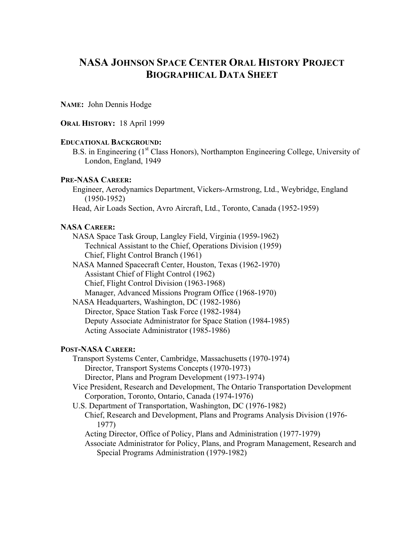# **NASA JOHNSON SPACE CENTER ORAL HISTORY PROJECT BIOGRAPHICAL DATA SHEET**

**NAME:** John Dennis Hodge

## **ORAL HISTORY:** 18 April 1999

## **EDUCATIONAL BACKGROUND:**

B.S. in Engineering (1<sup>st</sup> Class Honors), Northampton Engineering College, University of London, England, 1949

#### **PRE-NASA CAREER:**

Engineer, Aerodynamics Department, Vickers-Armstrong, Ltd., Weybridge, England (1950-1952)

Head, Air Loads Section, Avro Aircraft, Ltd., Toronto, Canada (1952-1959)

### **NASA CAREER:**

NASA Space Task Group, Langley Field, Virginia (1959-1962) Technical Assistant to the Chief, Operations Division (1959) Chief, Flight Control Branch (1961)

NASA Manned Spacecraft Center, Houston, Texas (1962-1970) Assistant Chief of Flight Control (1962) Chief, Flight Control Division (1963-1968) Manager, Advanced Missions Program Office (1968-1970)

NASA Headquarters, Washington, DC (1982-1986) Director, Space Station Task Force (1982-1984) Deputy Associate Administrator for Space Station (1984-1985) Acting Associate Administrator (1985-1986)

# **POST-NASA CAREER:**

Transport Systems Center, Cambridge, Massachusetts (1970-1974) Director, Transport Systems Concepts (1970-1973) Director, Plans and Program Development (1973-1974)

- Vice President, Research and Development, The Ontario Transportation Development Corporation, Toronto, Ontario, Canada (1974-1976)
- U.S. Department of Transportation, Washington, DC (1976-1982)
	- Chief, Research and Development, Plans and Programs Analysis Division (1976- 1977)
		- Acting Director, Office of Policy, Plans and Administration (1977-1979)

Associate Administrator for Policy, Plans, and Program Management, Research and Special Programs Administration (1979-1982)